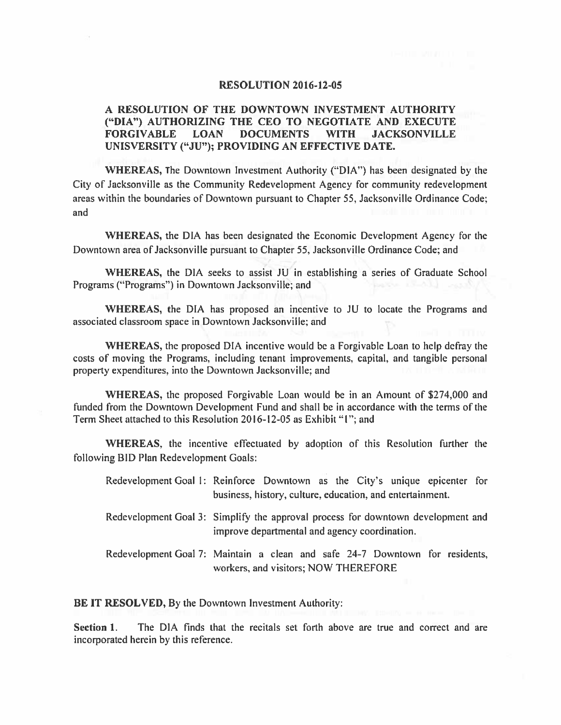## **RESOLUTION 2016-12-05**

## A RESOLUTION OF THE DOWNTOWN INVESTMENT AUTHORITY ("DIA") AUTHORIZING THE CEO TO NEGOTIATE AND EXECUTE **FORGIVABLE LOAN DOCUMENTS WITH JACKSONVILLE** UNISVERSITY ("JU"); PROVIDING AN EFFECTIVE DATE.

**WHEREAS, The Downtown Investment Authority ("DIA") has been designated by the** City of Jacksonville as the Community Redevelopment Agency for community redevelopment areas within the boundaries of Downtown pursuant to Chapter 55, Jacksonville Ordinance Code; and

WHEREAS, the DIA has been designated the Economic Development Agency for the Downtown area of Jacksonville pursuant to Chapter 55, Jacksonville Ordinance Code; and

WHEREAS, the DIA seeks to assist JU in establishing a series of Graduate School Programs ("Programs") in Downtown Jacksonville; and

WHEREAS, the DIA has proposed an incentive to JU to locate the Programs and associated classroom space in Downtown Jacksonville; and

WHEREAS, the proposed DIA incentive would be a Forgivable Loan to help defray the costs of moving the Programs, including tenant improvements, capital, and tangible personal property expenditures, into the Downtown Jacksonville; and

WHEREAS, the proposed Forgivable Loan would be in an Amount of \$274,000 and funded from the Downtown Development Fund and shall be in accordance with the terms of the Term Sheet attached to this Resolution 2016-12-05 as Exhibit "1"; and

WHEREAS, the incentive effectuated by adoption of this Resolution further the following BID Plan Redevelopment Goals:

Redevelopment Goal 1: Reinforce Downtown as the City's unique epicenter for business, history, culture, education, and entertainment.

- Redevelopment Goal 3: Simplify the approval process for downtown development and improve departmental and agency coordination.
- Redevelopment Goal 7: Maintain a clean and safe 24-7 Downtown for residents, workers, and visitors; NOW THEREFORE

BE IT RESOLVED, By the Downtown Investment Authority:

The DIA finds that the recitals set forth above are true and correct and are Section 1. incorporated herein by this reference.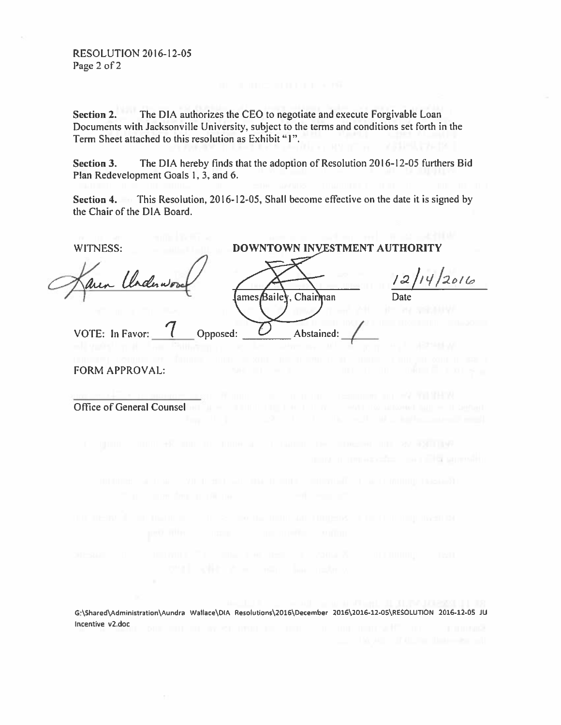Section 2. The DIA authorizes the CEO to negotiate and execute Forgivable Loan Documents with Jacksonville University, subject to the terms and conditions set forth in the Term Sheet attached to this resolution as Exhibit "I".

The DIA hereby finds that the adoption of Resolution 2016-12-05 furthers Bid Section 3. Plan Redevelopment Goals 1, 3, and 6.

Section 4. This Resolution, 2016-12-05, Shall become effective on the date it is signed by the Chair of the DIA Board.

WITNESS: DOWNTOWN INVESTMENT AUTHORITY  $2016$ rderwoo lames Bailey, Chairman C VOTE: In Favor: Opposed: Abstained: **FORM APPROVAL:** Office of General Counsel more a propagantes, na pillo supervien G:\Shared\Administration\Aundra Wallace\DIA Resolutions\2016\December 2016\2016-12-05\RESOLUTION 2016-12-05 JU Incentive v2.doc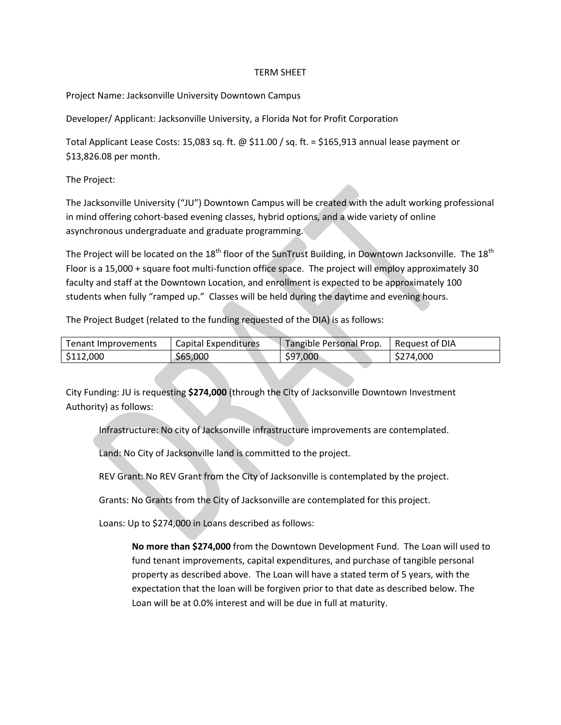## TERM SHEET

Project Name: Jacksonville University Downtown Campus

Developer/ Applicant: Jacksonville University, a Florida Not for Profit Corporation

Total Applicant Lease Costs: 15,083 sq. ft. @ \$11.00 / sq. ft. = \$165,913 annual lease payment or \$13,826.08 per month.

The Project:

The Jacksonville University ("JU") Downtown Campus will be created with the adult working professional in mind offering cohort-based evening classes, hybrid options, and a wide variety of online asynchronous undergraduate and graduate programming.

The Project will be located on the  $18<sup>th</sup>$  floor of the SunTrust Building, in Downtown Jacksonville. The  $18<sup>th</sup>$ Floor is a 15,000 + square foot multi-function office space. The project will employ approximately 30 faculty and staff at the Downtown Location, and enrollment is expected to be approximately 100 students when fully "ramped up." Classes will be held during the daytime and evening hours.

The Project Budget (related to the funding requested of the DIA) is as follows:

| Tenant Improvements | Capital Expenditures | Tangible Personal Prop. | Request of DIA |
|---------------------|----------------------|-------------------------|----------------|
| 5112,000            | \$65,000             | \$97,000                | \$274,000      |

City Funding: JU is requesting **\$274,000** (through the City of Jacksonville Downtown Investment Authority) as follows:

Infrastructure: No city of Jacksonville infrastructure improvements are contemplated.

Land: No City of Jacksonville land is committed to the project.

REV Grant: No REV Grant from the City of Jacksonville is contemplated by the project.

Grants: No Grants from the City of Jacksonville are contemplated for this project.

Loans: Up to \$274,000 in Loans described as follows:

**No more than \$274,000** from the Downtown Development Fund. The Loan will used to fund tenant improvements, capital expenditures, and purchase of tangible personal property as described above. The Loan will have a stated term of 5 years, with the expectation that the loan will be forgiven prior to that date as described below. The Loan will be at 0.0% interest and will be due in full at maturity.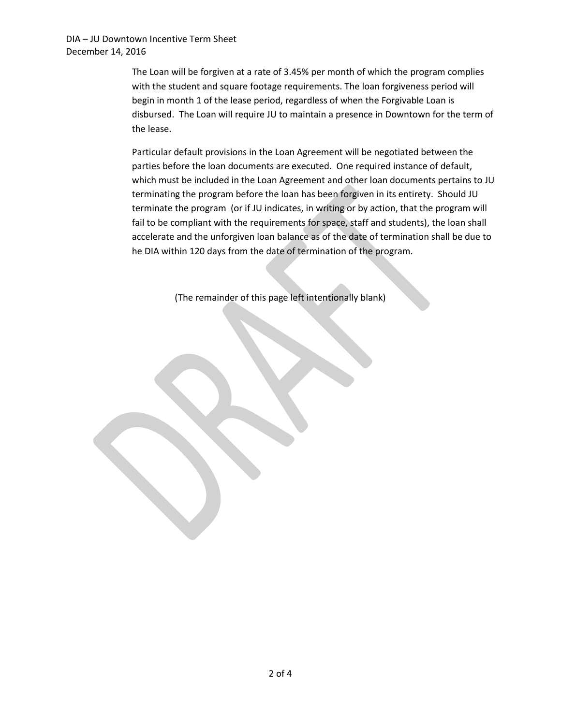The Loan will be forgiven at a rate of 3.45% per month of which the program complies with the student and square footage requirements. The loan forgiveness period will begin in month 1 of the lease period, regardless of when the Forgivable Loan is disbursed. The Loan will require JU to maintain a presence in Downtown for the term of the lease.

Particular default provisions in the Loan Agreement will be negotiated between the parties before the loan documents are executed. One required instance of default, which must be included in the Loan Agreement and other loan documents pertains to JU terminating the program before the loan has been forgiven in its entirety. Should JU terminate the program (or if JU indicates, in writing or by action, that the program will fail to be compliant with the requirements for space, staff and students), the loan shall accelerate and the unforgiven loan balance as of the date of termination shall be due to he DIA within 120 days from the date of termination of the program.

(The remainder of this page left intentionally blank)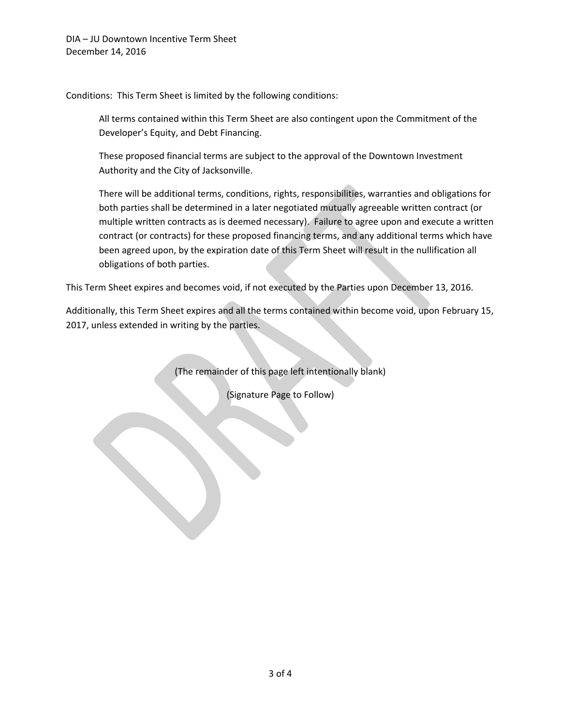Conditions: This Term Sheet is limited by the following conditions:

All terms contained within this Term Sheet are also contingent upon the Commitment of the Developer's Equity, and Debt Financing.

These proposed financial terms are subject to the approval of the Downtown Investment Authority and the City of Jacksonville.

There will be additional terms, conditions, rights, responsibilities, warranties and obligations for both parties shall be determined in a later negotiated mutually agreeable written contract (or multiple written contracts as is deemed necessary). Failure to agree upon and execute a written contract (or contracts) for these proposed financing terms, and any additional terms which have been agreed upon, by the expiration date of this Term Sheet will result in the nullification all obligations of both parties.

This Term Sheet expires and becomes void, if not executed by the Parties upon December 13, 2016.

Additionally, this Term Sheet expires and all the terms contained within become void, upon February 15, 2017, unless extended in writing by the parties.

(The remainder of this page left intentionally blank)

(Signature Page to Follow)